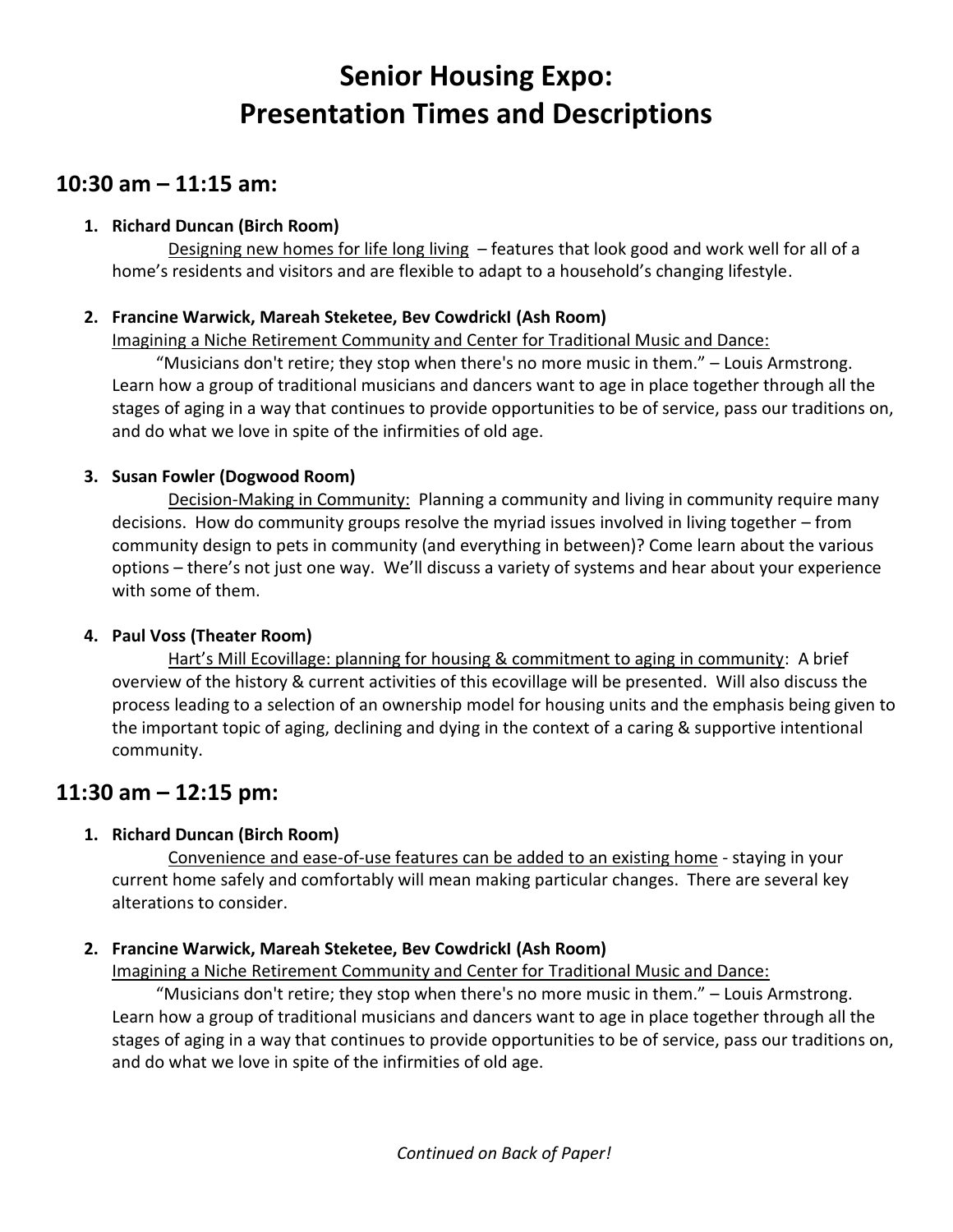# **Senior Housing Expo: Presentation Times and Descriptions**

# **10:30 am – 11:15 am:**

### **1. Richard Duncan (Birch Room)**

Designing new homes for life long living – features that look good and work well for all of a home's residents and visitors and are flexible to adapt to a household's changing lifestyle.

### **2. Francine Warwick, Mareah Steketee, Bev CowdrickI (Ash Room)**

Imagining a Niche Retirement Community and Center for Traditional Music and Dance:

"Musicians don't retire; they stop when there's no more music in them." – Louis Armstrong. Learn how a group of traditional musicians and dancers want to age in place together through all the stages of aging in a way that continues to provide opportunities to be of service, pass our traditions on, and do what we love in spite of the infirmities of old age.

### **3. Susan Fowler (Dogwood Room)**

Decision-Making in Community: Planning a community and living in community require many decisions. How do community groups resolve the myriad issues involved in living together – from community design to pets in community (and everything in between)? Come learn about the various options – there's not just one way. We'll discuss a variety of systems and hear about your experience with some of them.

## **4. Paul Voss (Theater Room)**

Hart's Mill Ecovillage: planning for housing & commitment to aging in community: A brief overview of the history & current activities of this ecovillage will be presented. Will also discuss the process leading to a selection of an ownership model for housing units and the emphasis being given to the important topic of aging, declining and dying in the context of a caring & supportive intentional community.

# **11:30 am – 12:15 pm:**

## **1. Richard Duncan (Birch Room)**

Convenience and ease-of-use features can be added to an existing home - staying in your current home safely and comfortably will mean making particular changes. There are several key alterations to consider.

## **2. Francine Warwick, Mareah Steketee, Bev CowdrickI (Ash Room)**

Imagining a Niche Retirement Community and Center for Traditional Music and Dance:

"Musicians don't retire; they stop when there's no more music in them." – Louis Armstrong. Learn how a group of traditional musicians and dancers want to age in place together through all the stages of aging in a way that continues to provide opportunities to be of service, pass our traditions on, and do what we love in spite of the infirmities of old age.